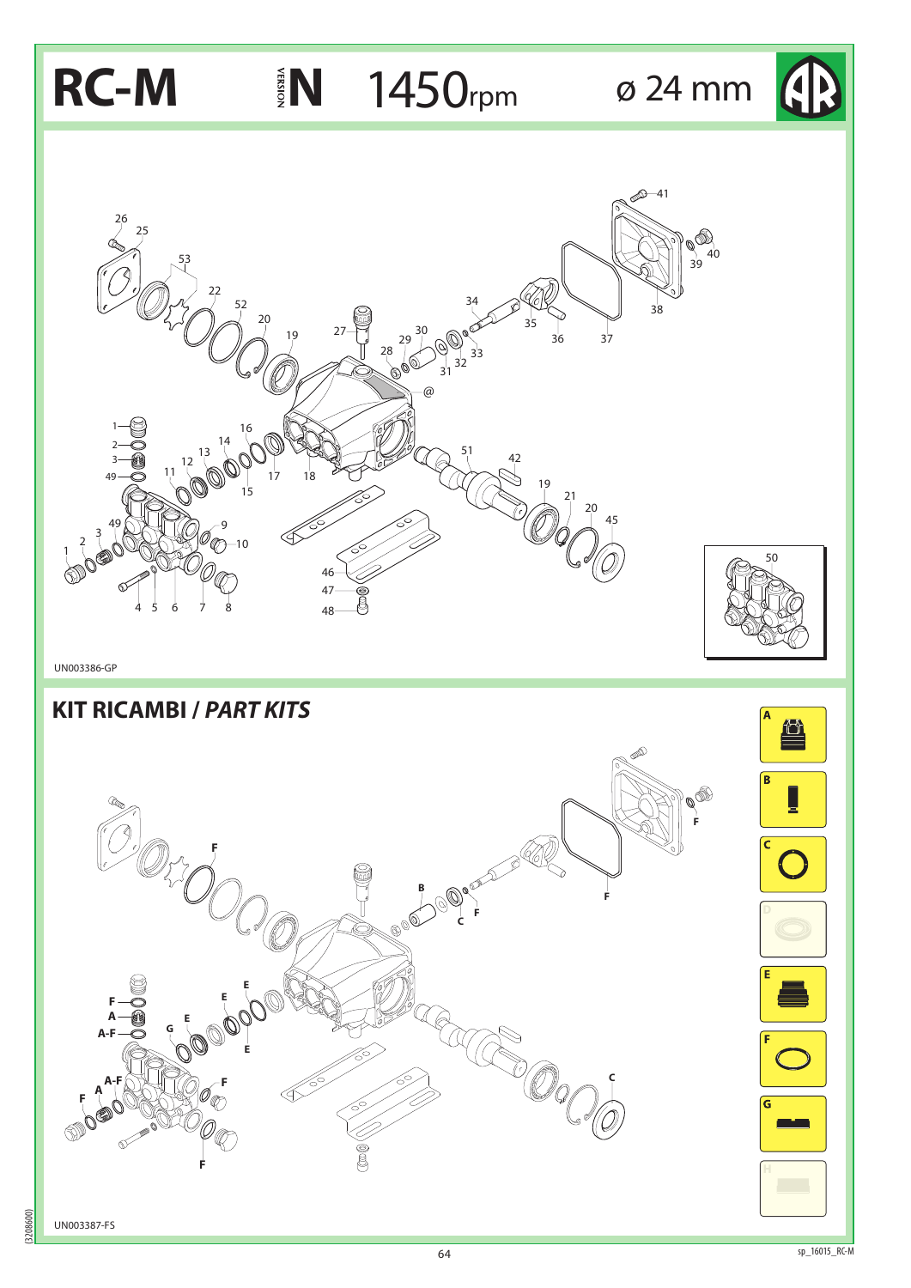